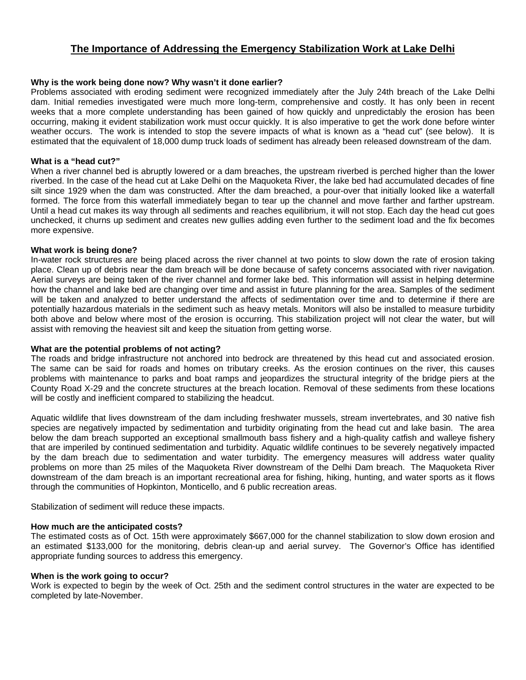# **The Importance of Addressing the Emergency Stabilization Work at Lake Delhi**

## **Why is the work being done now? Why wasn't it done earlier?**

Problems associated with eroding sediment were recognized immediately after the July 24th breach of the Lake Delhi dam. Initial remedies investigated were much more long-term, comprehensive and costly. It has only been in recent weeks that a more complete understanding has been gained of how quickly and unpredictably the erosion has been occurring, making it evident stabilization work must occur quickly. It is also imperative to get the work done before winter weather occurs. The work is intended to stop the severe impacts of what is known as a "head cut" (see below). It is estimated that the equivalent of 18,000 dump truck loads of sediment has already been released downstream of the dam.

## **What is a "head cut?"**

When a river channel bed is abruptly lowered or a dam breaches, the upstream riverbed is perched higher than the lower riverbed. In the case of the head cut at Lake Delhi on the Maquoketa River, the lake bed had accumulated decades of fine silt since 1929 when the dam was constructed. After the dam breached, a pour-over that initially looked like a waterfall formed. The force from this waterfall immediately began to tear up the channel and move farther and farther upstream. Until a head cut makes its way through all sediments and reaches equilibrium, it will not stop. Each day the head cut goes unchecked, it churns up sediment and creates new gullies adding even further to the sediment load and the fix becomes more expensive.

### **What work is being done?**

In-water rock structures are being placed across the river channel at two points to slow down the rate of erosion taking place. Clean up of debris near the dam breach will be done because of safety concerns associated with river navigation. Aerial surveys are being taken of the river channel and former lake bed. This information will assist in helping determine how the channel and lake bed are changing over time and assist in future planning for the area. Samples of the sediment will be taken and analyzed to better understand the affects of sedimentation over time and to determine if there are potentially hazardous materials in the sediment such as heavy metals. Monitors will also be installed to measure turbidity both above and below where most of the erosion is occurring. This stabilization project will not clear the water, but will assist with removing the heaviest silt and keep the situation from getting worse.

## **What are the potential problems of not acting?**

The roads and bridge infrastructure not anchored into bedrock are threatened by this head cut and associated erosion. The same can be said for roads and homes on tributary creeks. As the erosion continues on the river, this causes problems with maintenance to parks and boat ramps and jeopardizes the structural integrity of the bridge piers at the County Road X-29 and the concrete structures at the breach location. Removal of these sediments from these locations will be costly and inefficient compared to stabilizing the headcut.

Aquatic wildlife that lives downstream of the dam including freshwater mussels, stream invertebrates, and 30 native fish species are negatively impacted by sedimentation and turbidity originating from the head cut and lake basin. The area below the dam breach supported an exceptional smallmouth bass fishery and a high-quality catfish and walleye fishery that are imperiled by continued sedimentation and turbidity. Aquatic wildlife continues to be severely negatively impacted by the dam breach due to sedimentation and water turbidity. The emergency measures will address water quality problems on more than 25 miles of the Maquoketa River downstream of the Delhi Dam breach. The Maquoketa River downstream of the dam breach is an important recreational area for fishing, hiking, hunting, and water sports as it flows through the communities of Hopkinton, Monticello, and 6 public recreation areas.

Stabilization of sediment will reduce these impacts.

### **How much are the anticipated costs?**

The estimated costs as of Oct. 15th were approximately \$667,000 for the channel stabilization to slow down erosion and an estimated \$133,000 for the monitoring, debris clean-up and aerial survey. The Governor's Office has identified appropriate funding sources to address this emergency.

#### **When is the work going to occur?**

Work is expected to begin by the week of Oct. 25th and the sediment control structures in the water are expected to be completed by late-November.